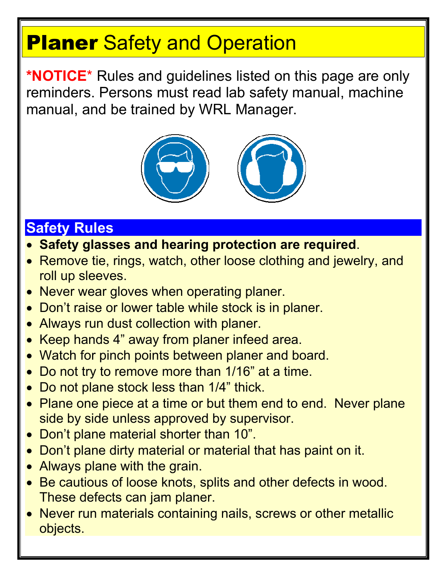## **Planer Safety and Operation**

**\*NOTICE**\* Rules and guidelines listed on this page are only reminders. Persons must read lab safety manual, machine manual, and be trained by WRL Manager.



## **Safety Rules**

- **Safety glasses and hearing protection are required**.
- Remove tie, rings, watch, other loose clothing and jewelry, and roll up sleeves.
- Never wear gloves when operating planer.
- Don't raise or lower table while stock is in planer.
- Always run dust collection with planer.
- Keep hands 4" away from planer infeed area.
- Watch for pinch points between planer and board.
- Do not try to remove more than 1/16" at a time.
- Do not plane stock less than 1/4" thick.
- Plane one piece at a time or but them end to end. Never plane side by side unless approved by supervisor.
- Don't plane material shorter than 10".
- Don't plane dirty material or material that has paint on it.
- Always plane with the grain.
- Be cautious of loose knots, splits and other defects in wood. These defects can jam planer.
- Never run materials containing nails, screws or other metallic objects.